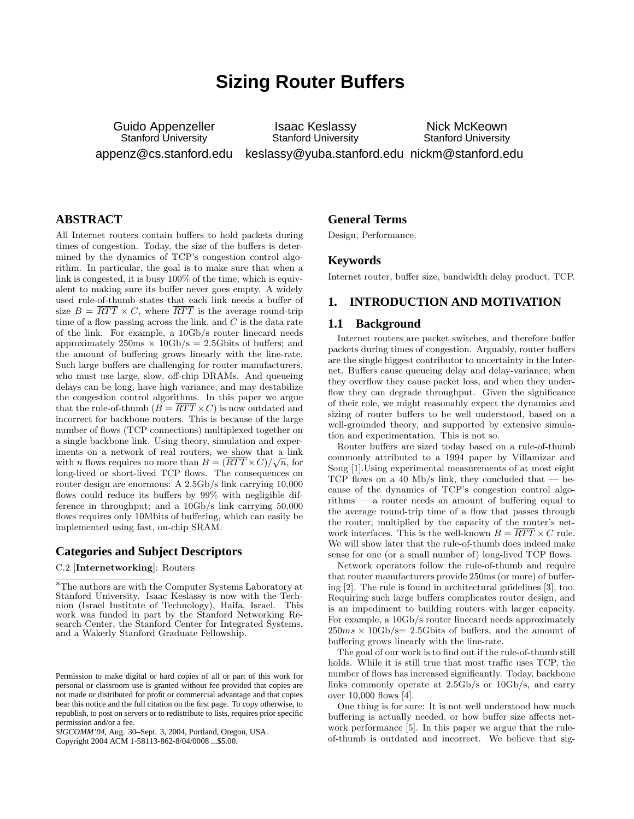# **Sizing Router Buffers**

Guido Appenzeller Stanford University appenz@cs.stanford.edu

Isaac Keslassy Stanford University keslassy@yuba.stanford.edu nickm@stanford.edu Nick McKeown Stanford University

# **ABSTRACT**

All Internet routers contain buffers to hold packets during times of congestion. Today, the size of the buffers is determined by the dynamics of TCP's congestion control algorithm. In particular, the goal is to make sure that when a link is congested, it is busy 100% of the time; which is equivalent to making sure its buffer never goes empty. A widely used rule-of-thumb states that each link needs a buffer of size  $B = \overline{RTT} \times C$ , where  $\overline{RTT}$  is the average round-trip time of a flow passing across the link, and  $C$  is the data rate of the link. For example, a 10Gb/s router linecard needs approximately  $250 \text{ms} \times 10 \text{Gb/s} = 2.5 \text{Gbits of buffers; and}$ the amount of buffering grows linearly with the line-rate. Such large buffers are challenging for router manufacturers, who must use large, slow, off-chip DRAMs. And queueing delays can be long, have high variance, and may destabilize the congestion control algorithms. In this paper we argue that the rule-of-thumb  $(B = \overline{RTT} \times C)$  is now outdated and incorrect for backbone routers. This is because of the large number of flows (TCP connections) multiplexed together on a single backbone link. Using theory, simulation and experiments on a network of real routers, we show that a link with *n* flows requires no more than  $B = \left( \overline{RTT} \times C \right) / \sqrt{n}$ , for long-lived or short-lived TCP flows. The consequences on router design are enormous: A 2.5Gb/s link carrying 10,000 flows could reduce its buffers by 99% with negligible difference in throughput; and a 10Gb/s link carrying 50,000 flows requires only 10Mbits of buffering, which can easily be implemented using fast, on-chip SRAM.

# **Categories and Subject Descriptors**

C.2 [Internetworking]: Routers

*SIGCOMM'04,* Aug. 30–Sept. 3, 2004, Portland, Oregon, USA. Copyright 2004 ACM 1-58113-862-8/04/0008 ...\$5.00.

# **General Terms**

Design, Performance.

## **Keywords**

Internet router, buffer size, bandwidth delay product, TCP.

# **1. INTRODUCTION AND MOTIVATION**

#### **1.1 Background**

Internet routers are packet switches, and therefore buffer packets during times of congestion. Arguably, router buffers are the single biggest contributor to uncertainty in the Internet. Buffers cause queueing delay and delay-variance; when they overflow they cause packet loss, and when they underflow they can degrade throughput. Given the significance of their role, we might reasonably expect the dynamics and sizing of router buffers to be well understood, based on a well-grounded theory, and supported by extensive simulation and experimentation. This is not so.

Router buffers are sized today based on a rule-of-thumb commonly attributed to a 1994 paper by Villamizar and Song [1].Using experimental measurements of at most eight TCP flows on a 40 Mb/s link, they concluded that  $-$  because of the dynamics of TCP's congestion control algorithms — a router needs an amount of buffering equal to the average round-trip time of a flow that passes through the router, multiplied by the capacity of the router's network interfaces. This is the well-known  $B = \overline{RTT} \times C$  rule. We will show later that the rule-of-thumb does indeed make sense for one (or a small number of) long-lived TCP flows.

Network operators follow the rule-of-thumb and require that router manufacturers provide 250ms (or more) of buffering [2]. The rule is found in architectural guidelines [3], too. Requiring such large buffers complicates router design, and is an impediment to building routers with larger capacity. For example, a 10Gb/s router linecard needs approximately  $250ms \times 10\text{Gb/s} = 2.5\text{Gbits}$  of buffers, and the amount of buffering grows linearly with the line-rate.

The goal of our work is to find out if the rule-of-thumb still holds. While it is still true that most traffic uses TCP, the number of flows has increased significantly. Today, backbone links commonly operate at 2.5Gb/s or 10Gb/s, and carry over 10,000 flows [4].

One thing is for sure: It is not well understood how much buffering is actually needed, or how buffer size affects network performance [5]. In this paper we argue that the ruleof-thumb is outdated and incorrect. We believe that sig-

<sup>∗</sup>The authors are with the Computer Systems Laboratory at Stanford University. Isaac Keslassy is now with the Technion (Israel Institute of Technology), Haifa, Israel. This work was funded in part by the Stanford Networking Research Center, the Stanford Center for Integrated Systems, and a Wakerly Stanford Graduate Fellowship.

Permission to make digital or hard copies of all or part of this work for personal or classroom use is granted without fee provided that copies are not made or distributed for profit or commercial advantage and that copies bear this notice and the full citation on the first page. To copy otherwise, to republish, to post on servers or to redistribute to lists, requires prior specific permission and/or a fee.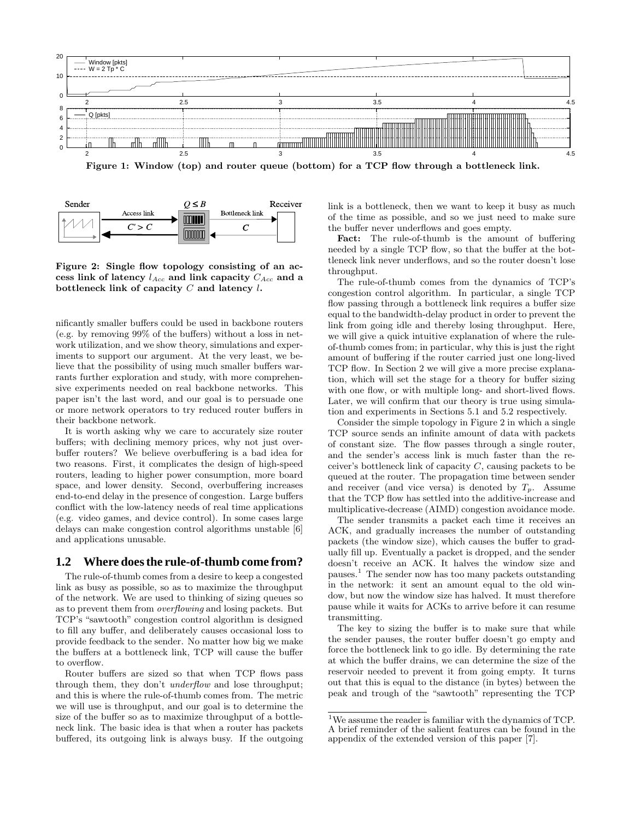



Figure 2: Single flow topology consisting of an access link of latency  $l_{Acc}$  and link capacity  $C_{Acc}$  and a bottleneck link of capacity  $C$  and latency  $l$ .

nificantly smaller buffers could be used in backbone routers (e.g. by removing 99% of the buffers) without a loss in network utilization, and we show theory, simulations and experiments to support our argument. At the very least, we believe that the possibility of using much smaller buffers warrants further exploration and study, with more comprehensive experiments needed on real backbone networks. This paper isn't the last word, and our goal is to persuade one or more network operators to try reduced router buffers in their backbone network.

It is worth asking why we care to accurately size router buffers; with declining memory prices, why not just overbuffer routers? We believe overbuffering is a bad idea for two reasons. First, it complicates the design of high-speed routers, leading to higher power consumption, more board space, and lower density. Second, overbuffering increases end-to-end delay in the presence of congestion. Large buffers conflict with the low-latency needs of real time applications (e.g. video games, and device control). In some cases large delays can make congestion control algorithms unstable [6] and applications unusable.

# **1.2 Where doesthe rule-of-thumb come from?**

The rule-of-thumb comes from a desire to keep a congested link as busy as possible, so as to maximize the throughput of the network. We are used to thinking of sizing queues so as to prevent them from overflowing and losing packets. But TCP's "sawtooth" congestion control algorithm is designed to fill any buffer, and deliberately causes occasional loss to provide feedback to the sender. No matter how big we make the buffers at a bottleneck link, TCP will cause the buffer to overflow.

Router buffers are sized so that when TCP flows pass through them, they don't underflow and lose throughput; and this is where the rule-of-thumb comes from. The metric we will use is throughput, and our goal is to determine the size of the buffer so as to maximize throughput of a bottleneck link. The basic idea is that when a router has packets buffered, its outgoing link is always busy. If the outgoing link is a bottleneck, then we want to keep it busy as much of the time as possible, and so we just need to make sure the buffer never underflows and goes empty.

Fact: The rule-of-thumb is the amount of buffering needed by a single TCP flow, so that the buffer at the bottleneck link never underflows, and so the router doesn't lose throughput.

The rule-of-thumb comes from the dynamics of TCP's congestion control algorithm. In particular, a single TCP flow passing through a bottleneck link requires a buffer size equal to the bandwidth-delay product in order to prevent the link from going idle and thereby losing throughput. Here, we will give a quick intuitive explanation of where the ruleof-thumb comes from; in particular, why this is just the right amount of buffering if the router carried just one long-lived TCP flow. In Section 2 we will give a more precise explanation, which will set the stage for a theory for buffer sizing with one flow, or with multiple long- and short-lived flows. Later, we will confirm that our theory is true using simulation and experiments in Sections 5.1 and 5.2 respectively.

Consider the simple topology in Figure 2 in which a single TCP source sends an infinite amount of data with packets of constant size. The flow passes through a single router, and the sender's access link is much faster than the receiver's bottleneck link of capacity  $C$ , causing packets to be queued at the router. The propagation time between sender and receiver (and vice versa) is denoted by  $T_p$ . Assume that the TCP flow has settled into the additive-increase and multiplicative-decrease (AIMD) congestion avoidance mode.

The sender transmits a packet each time it receives an ACK, and gradually increases the number of outstanding packets (the window size), which causes the buffer to gradually fill up. Eventually a packet is dropped, and the sender doesn't receive an ACK. It halves the window size and pauses.<sup>1</sup> The sender now has too many packets outstanding in the network: it sent an amount equal to the old window, but now the window size has halved. It must therefore pause while it waits for ACKs to arrive before it can resume transmitting.

The key to sizing the buffer is to make sure that while the sender pauses, the router buffer doesn't go empty and force the bottleneck link to go idle. By determining the rate at which the buffer drains, we can determine the size of the reservoir needed to prevent it from going empty. It turns out that this is equal to the distance (in bytes) between the peak and trough of the "sawtooth" representing the TCP

<sup>1</sup>We assume the reader is familiar with the dynamics of TCP. A brief reminder of the salient features can be found in the appendix of the extended version of this paper [7].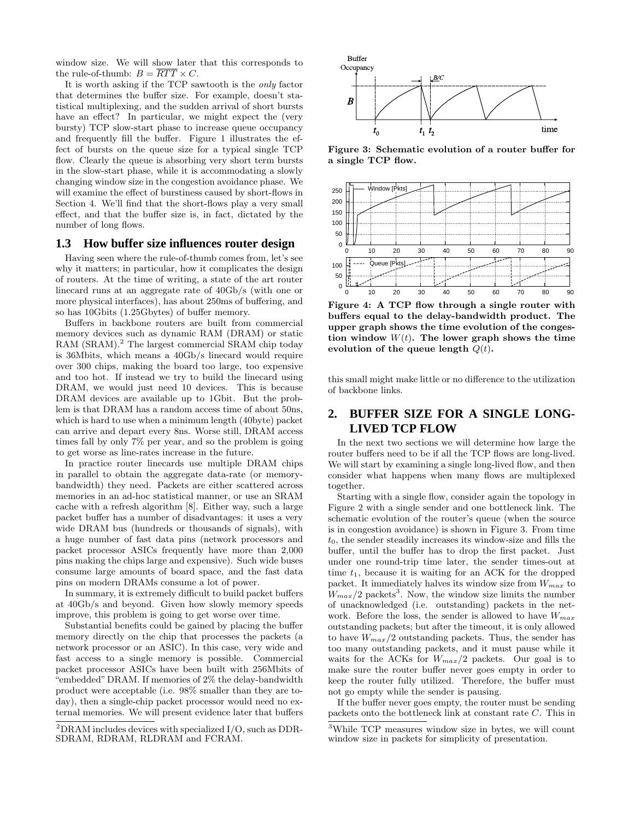window size. We will show later that this corresponds to the rule-of-thumb:  $B = \overline{RTT} \times C$ .

It is worth asking if the TCP sawtooth is the only factor that determines the buffer size. For example, doesn't statistical multiplexing, and the sudden arrival of short bursts have an effect? In particular, we might expect the (very bursty) TCP slow-start phase to increase queue occupancy and frequently fill the buffer. Figure 1 illustrates the effect of bursts on the queue size for a typical single TCP flow. Clearly the queue is absorbing very short term bursts in the slow-start phase, while it is accommodating a slowly changing window size in the congestion avoidance phase. We will examine the effect of burstiness caused by short-flows in Section 4. We'll find that the short-flows play a very small effect, and that the buffer size is, in fact, dictated by the number of long flows.

#### **1.3 How buffer size influences router design**

Having seen where the rule-of-thumb comes from, let's see why it matters; in particular, how it complicates the design of routers. At the time of writing, a state of the art router linecard runs at an aggregate rate of 40Gb/s (with one or more physical interfaces), has about 250ms of buffering, and so has 10Gbits (1.25Gbytes) of buffer memory.

Buffers in backbone routers are built from commercial memory devices such as dynamic RAM (DRAM) or static RAM (SRAM).<sup>2</sup> The largest commercial SRAM chip today is 36Mbits, which means a 40Gb/s linecard would require over 300 chips, making the board too large, too expensive and too hot. If instead we try to build the linecard using DRAM, we would just need 10 devices. This is because DRAM devices are available up to 1Gbit. But the problem is that DRAM has a random access time of about 50ns, which is hard to use when a minimum length (40byte) packet can arrive and depart every 8ns. Worse still, DRAM access times fall by only 7% per year, and so the problem is going to get worse as line-rates increase in the future.

In practice router linecards use multiple DRAM chips in parallel to obtain the aggregate data-rate (or memorybandwidth) they need. Packets are either scattered across memories in an ad-hoc statistical manner, or use an SRAM cache with a refresh algorithm [8]. Either way, such a large packet buffer has a number of disadvantages: it uses a very wide DRAM bus (hundreds or thousands of signals), with a huge number of fast data pins (network processors and packet processor ASICs frequently have more than 2,000 pins making the chips large and expensive). Such wide buses consume large amounts of board space, and the fast data pins on modern DRAMs consume a lot of power.

In summary, it is extremely difficult to build packet buffers at 40Gb/s and beyond. Given how slowly memory speeds improve, this problem is going to get worse over time.

Substantial benefits could be gained by placing the buffer memory directly on the chip that processes the packets (a network processor or an ASIC). In this case, very wide and fast access to a single memory is possible. Commercial packet processor ASICs have been built with 256Mbits of "embedded"DRAM. If memories of 2% the delay-bandwidth product were acceptable (i.e. 98% smaller than they are today), then a single-chip packet processor would need no external memories. We will present evidence later that buffers



Figure 3: Schematic evolution of a router buffer for a single TCP flow.



Figure 4: A TCP flow through a single router with buffers equal to the delay-bandwidth product. The upper graph shows the time evolution of the congestion window  $W(t)$ . The lower graph shows the time evolution of the queue length  $Q(t)$ .

this small might make little or no difference to the utilization of backbone links.

# **2. BUFFER SIZE FOR A SINGLE LONG-LIVED TCP FLOW**

In the next two sections we will determine how large the router buffers need to be if all the TCP flows are long-lived. We will start by examining a single long-lived flow, and then consider what happens when many flows are multiplexed together.

Starting with a single flow, consider again the topology in Figure 2 with a single sender and one bottleneck link. The schematic evolution of the router's queue (when the source is in congestion avoidance) is shown in Figure 3. From time  $t_0$ , the sender steadily increases its window-size and fills the buffer, until the buffer has to drop the first packet. Just under one round-trip time later, the sender times-out at time  $t_1$ , because it is waiting for an ACK for the dropped packet. It immediately halves its window size from  $W_{max}$  to  $W_{max}/2$  packets<sup>3</sup>. Now, the window size limits the number of unacknowledged (i.e. outstanding) packets in the network. Before the loss, the sender is allowed to have  $W_{max}$ outstanding packets; but after the timeout, it is only allowed to have  $W_{max}/2$  outstanding packets. Thus, the sender has too many outstanding packets, and it must pause while it waits for the ACKs for  $W_{max}/2$  packets. Our goal is to make sure the router buffer never goes empty in order to keep the router fully utilized. Therefore, the buffer must not go empty while the sender is pausing.

If the buffer never goes empty, the router must be sending packets onto the bottleneck link at constant rate C. This in

<sup>2</sup>DRAM includes devices with specialized I/O, such as DDR-SDRAM, RDRAM, RLDRAM and FCRAM.

<sup>3</sup>While TCP measures window size in bytes, we will count window size in packets for simplicity of presentation.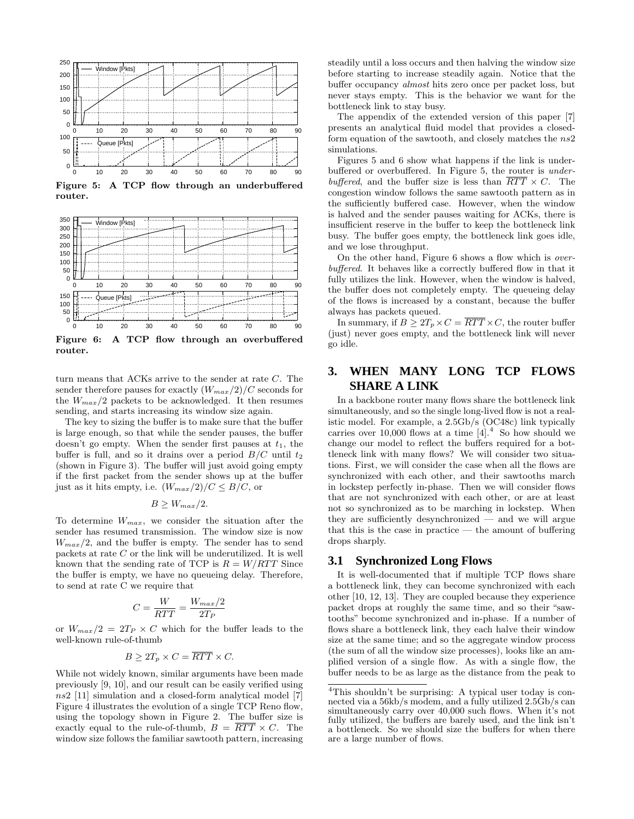

Figure 5: A TCP flow through an underbuffered router.



router.

turn means that ACKs arrive to the sender at rate C. The sender therefore pauses for exactly  $(W_{max}/2)/C$  seconds for the  $W_{max}/2$  packets to be acknowledged. It then resumes sending, and starts increasing its window size again.

The key to sizing the buffer is to make sure that the buffer is large enough, so that while the sender pauses, the buffer doesn't go empty. When the sender first pauses at  $t_1$ , the buffer is full, and so it drains over a period  $B/C$  until  $t_2$ (shown in Figure 3). The buffer will just avoid going empty if the first packet from the sender shows up at the buffer just as it hits empty, i.e.  $(W_{max}/2)/C \leq B/C$ , or

$$
B \geq W_{max}/2.
$$

To determine  $W_{max}$ , we consider the situation after the sender has resumed transmission. The window size is now  $W_{max}/2$ , and the buffer is empty. The sender has to send packets at rate C or the link will be underutilized. It is well known that the sending rate of TCP is  $R = W/RTT$  Since the buffer is empty, we have no queueing delay. Therefore, to send at rate C we require that

$$
C = \frac{W}{RTT} = \frac{W_{max}/2}{2T_P}
$$

or  $W_{max}/2 = 2T_P \times C$  which for the buffer leads to the well-known rule-of-thumb

$$
B \ge 2T_p \times C = \overline{RTT} \times C.
$$

While not widely known, similar arguments have been made previously [9, 10], and our result can be easily verified using ns2 [11] simulation and a closed-form analytical model [7] Figure 4 illustrates the evolution of a single TCP Reno flow, using the topology shown in Figure 2. The buffer size is exactly equal to the rule-of-thumb,  $B = \overline{RTT} \times C$ . The window size follows the familiar sawtooth pattern, increasing

steadily until a loss occurs and then halving the window size before starting to increase steadily again. Notice that the buffer occupancy almost hits zero once per packet loss, but never stays empty. This is the behavior we want for the bottleneck link to stay busy.

The appendix of the extended version of this paper [7] presents an analytical fluid model that provides a closedform equation of the sawtooth, and closely matches the ns2 simulations.

Figures 5 and 6 show what happens if the link is underbuffered or overbuffered. In Figure 5, the router is underbuffered, and the buffer size is less than  $\overline{RTT} \times C$ . The congestion window follows the same sawtooth pattern as in the sufficiently buffered case. However, when the window is halved and the sender pauses waiting for ACKs, there is insufficient reserve in the buffer to keep the bottleneck link busy. The buffer goes empty, the bottleneck link goes idle, and we lose throughput.

On the other hand, Figure 6 shows a flow which is overbuffered. It behaves like a correctly buffered flow in that it fully utilizes the link. However, when the window is halved, the buffer does not completely empty. The queueing delay of the flows is increased by a constant, because the buffer always has packets queued.

In summary, if  $B \geq 2T_p \times C = \overline{RTT} \times C$ , the router buffer (just) never goes empty, and the bottleneck link will never go idle.

# **3. WHEN MANY LONG TCP FLOWS SHARE A LINK**

In a backbone router many flows share the bottleneck link simultaneously, and so the single long-lived flow is not a realistic model. For example, a 2.5Gb/s (OC48c) link typically carries over 10,000 flows at a time  $[4]$ .<sup>4</sup> So how should we change our model to reflect the buffers required for a bottleneck link with many flows? We will consider two situations. First, we will consider the case when all the flows are synchronized with each other, and their sawtooths march in lockstep perfectly in-phase. Then we will consider flows that are not synchronized with each other, or are at least not so synchronized as to be marching in lockstep. When they are sufficiently desynchronized — and we will argue that this is the case in practice — the amount of buffering drops sharply.

## **3.1 Synchronized Long Flows**

It is well-documented that if multiple TCP flows share a bottleneck link, they can become synchronized with each other [10, 12, 13]. They are coupled because they experience packet drops at roughly the same time, and so their "sawtooths" become synchronized and in-phase. If a number of flows share a bottleneck link, they each halve their window size at the same time; and so the aggregate window process (the sum of all the window size processes), looks like an amplified version of a single flow. As with a single flow, the buffer needs to be as large as the distance from the peak to

<sup>4</sup>This shouldn't be surprising: A typical user today is connected via a 56kb/s modem, and a fully utilized 2.5Gb/s can simultaneously carry over 40,000 such flows. When it's not fully utilized, the buffers are barely used, and the link isn't a bottleneck. So we should size the buffers for when there are a large number of flows.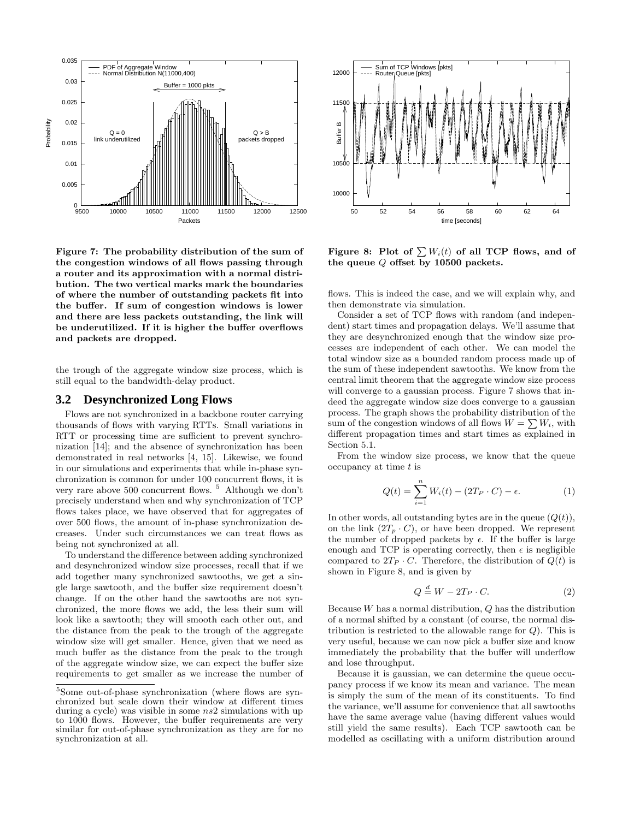

Figure 7: The probability distribution of the sum of the congestion windows of all flows passing through a router and its approximation with a normal distribution. The two vertical marks mark the boundaries of where the number of outstanding packets fit into the buffer. If sum of congestion windows is lower and there are less packets outstanding, the link will be underutilized. If it is higher the buffer overflows and packets are dropped.

the trough of the aggregate window size process, which is still equal to the bandwidth-delay product.

#### **3.2 Desynchronized Long Flows**

Flows are not synchronized in a backbone router carrying thousands of flows with varying RTTs. Small variations in RTT or processing time are sufficient to prevent synchronization [14]; and the absence of synchronization has been demonstrated in real networks [4, 15]. Likewise, we found in our simulations and experiments that while in-phase synchronization is common for under 100 concurrent flows, it is very rare above 500 concurrent flows. <sup>5</sup> Although we don't precisely understand when and why synchronization of TCP flows takes place, we have observed that for aggregates of over 500 flows, the amount of in-phase synchronization decreases. Under such circumstances we can treat flows as being not synchronized at all.

To understand the difference between adding synchronized and desynchronized window size processes, recall that if we add together many synchronized sawtooths, we get a single large sawtooth, and the buffer size requirement doesn't change. If on the other hand the sawtooths are not synchronized, the more flows we add, the less their sum will look like a sawtooth; they will smooth each other out, and the distance from the peak to the trough of the aggregate window size will get smaller. Hence, given that we need as much buffer as the distance from the peak to the trough of the aggregate window size, we can expect the buffer size requirements to get smaller as we increase the number of



Figure 8: Plot of  $\sum W_i(t)$  of all TCP flows, and of the queue Q offset by 10500 packets.

flows. This is indeed the case, and we will explain why, and then demonstrate via simulation.

Consider a set of TCP flows with random (and independent) start times and propagation delays. We'll assume that they are desynchronized enough that the window size processes are independent of each other. We can model the total window size as a bounded random process made up of the sum of these independent sawtooths. We know from the central limit theorem that the aggregate window size process will converge to a gaussian process. Figure 7 shows that indeed the aggregate window size does converge to a gaussian process. The graph shows the probability distribution of the sum of the congestion windows of all flows  $W = \sum W_i$ , with different propagation times and start times as explained in Section 5.1.

From the window size process, we know that the queue occupancy at time  $t$  is

$$
Q(t) = \sum_{i=1}^{n} W_i(t) - (2T_P \cdot C) - \epsilon.
$$
 (1)

In other words, all outstanding bytes are in the queue  $(Q(t))$ , on the link  $(2T_p \cdot C)$ , or have been dropped. We represent the number of dropped packets by  $\epsilon$ . If the buffer is large enough and TCP is operating correctly, then  $\epsilon$  is negligible compared to  $2T_P \cdot C$ . Therefore, the distribution of  $Q(t)$  is shown in Figure 8, and is given by

$$
Q \stackrel{d}{=} W - 2T_P \cdot C. \tag{2}
$$

Because  $W$  has a normal distribution,  $Q$  has the distribution of a normal shifted by a constant (of course, the normal distribution is restricted to the allowable range for  $Q$ ). This is very useful, because we can now pick a buffer size and know immediately the probability that the buffer will underflow and lose throughput.

Because it is gaussian, we can determine the queue occupancy process if we know its mean and variance. The mean is simply the sum of the mean of its constituents. To find the variance, we'll assume for convenience that all sawtooths have the same average value (having different values would still yield the same results). Each TCP sawtooth can be modelled as oscillating with a uniform distribution around

<sup>5</sup>Some out-of-phase synchronization (where flows are synchronized but scale down their window at different times during a cycle) was visible in some ns2 simulations with up to 1000 flows. However, the buffer requirements are very similar for out-of-phase synchronization as they are for no synchronization at all.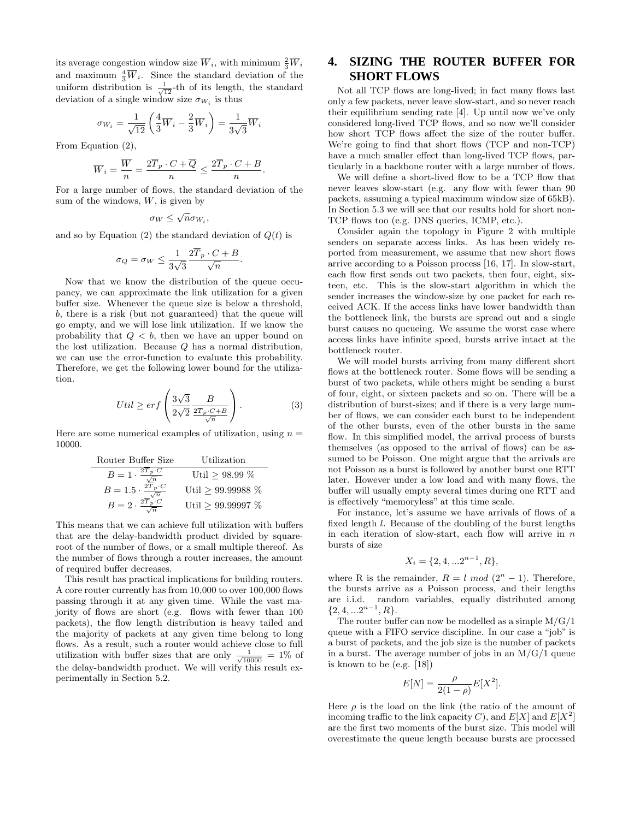its average congestion window size  $\overline{W}_i$ , with minimum  $\frac{2}{3}\overline{W}_i$ and maximum  $\frac{4}{3}\overline{W}_i$ . Since the standard deviation of the uniform distribution is  $\frac{1}{\sqrt{12}}$ -th of its length, the standard deviation of a single window size  $\sigma_{W_i}$  is thus

$$
\sigma_{W_i} = \frac{1}{\sqrt{12}} \left( \frac{4}{3} \overline{W}_i - \frac{2}{3} \overline{W}_i \right) = \frac{1}{3\sqrt{3}} \overline{W}_i
$$

From Equation (2),

$$
\overline{W}_i = \frac{\overline{W}}{n} = \frac{2\overline{T}_p \cdot C + \overline{Q}}{n} \le \frac{2\overline{T}_p \cdot C + B}{n}
$$

.

For a large number of flows, the standard deviation of the sum of the windows,  $W$ , is given by

$$
\sigma_W \leq \sqrt{n} \sigma_{W_i},
$$

and so by Equation (2) the standard deviation of  $Q(t)$  is

$$
\sigma_Q = \sigma_W \le \frac{1}{3\sqrt{3}} \frac{2\overline{T}_p \cdot C + B}{\sqrt{n}}.
$$

Now that we know the distribution of the queue occupancy, we can approximate the link utilization for a given buffer size. Whenever the queue size is below a threshold, b, there is a risk (but not guaranteed) that the queue will go empty, and we will lose link utilization. If we know the probability that  $Q \leq b$ , then we have an upper bound on the lost utilization. Because Q has a normal distribution, we can use the error-function to evaluate this probability. Therefore, we get the following lower bound for the utilization.

$$
Util \ge erf \left(\frac{3\sqrt{3}}{2\sqrt{2}} \frac{B}{\frac{2\overline{T}_p \cdot C + B}{\sqrt{n}}}\right). \tag{3}
$$

Here are some numerical examples of utilization, using  $n =$ 10000.

Fourier Buffer Size

\nUtilization

\n
$$
B = 1 \cdot \frac{2\overline{T}_p \cdot C}{\sqrt{n}}
$$
\nUtil ≥ 98.99 %

\n
$$
B = 1.5 \cdot \frac{2\overline{T}_p \cdot C}{\sqrt{n}}
$$
\nUtil ≥ 99.99988 %

\n
$$
B = 2 \cdot \frac{2\overline{T}_p \cdot C}{\sqrt{n}}
$$
\nUtil ≥ 99.99997 %

This means that we can achieve full utilization with buffers that are the delay-bandwidth product divided by squareroot of the number of flows, or a small multiple thereof. As the number of flows through a router increases, the amount of required buffer decreases.

This result has practical implications for building routers. A core router currently has from 10,000 to over 100,000 flows passing through it at any given time. While the vast majority of flows are short (e.g. flows with fewer than 100 packets), the flow length distribution is heavy tailed and the majority of packets at any given time belong to long flows. As a result, such a router would achieve close to full utilization with buffer sizes that are only  $\frac{1}{\sqrt{10000}} = 1\%$  of the delay-bandwidth product. We will verify this result experimentally in Section 5.2.

# **4. SIZING THE ROUTER BUFFER FOR SHORT FLOWS**

Not all TCP flows are long-lived; in fact many flows last only a few packets, never leave slow-start, and so never reach their equilibrium sending rate [4]. Up until now we've only considered long-lived TCP flows, and so now we'll consider how short TCP flows affect the size of the router buffer. We're going to find that short flows (TCP and non-TCP) have a much smaller effect than long-lived TCP flows, particularly in a backbone router with a large number of flows.

We will define a short-lived flow to be a TCP flow that never leaves slow-start (e.g. any flow with fewer than 90 packets, assuming a typical maximum window size of 65kB). In Section 5.3 we will see that our results hold for short non-TCP flows too (e.g. DNS queries, ICMP, etc.).

Consider again the topology in Figure 2 with multiple senders on separate access links. As has been widely reported from measurement, we assume that new short flows arrive according to a Poisson process [16, 17]. In slow-start, each flow first sends out two packets, then four, eight, sixteen, etc. This is the slow-start algorithm in which the sender increases the window-size by one packet for each received ACK. If the access links have lower bandwidth than the bottleneck link, the bursts are spread out and a single burst causes no queueing. We assume the worst case where access links have infinite speed, bursts arrive intact at the bottleneck router.

We will model bursts arriving from many different short flows at the bottleneck router. Some flows will be sending a burst of two packets, while others might be sending a burst of four, eight, or sixteen packets and so on. There will be a distribution of burst-sizes; and if there is a very large number of flows, we can consider each burst to be independent of the other bursts, even of the other bursts in the same flow. In this simplified model, the arrival process of bursts themselves (as opposed to the arrival of flows) can be assumed to be Poisson. One might argue that the arrivals are not Poisson as a burst is followed by another burst one RTT later. However under a low load and with many flows, the buffer will usually empty several times during one RTT and is effectively "memoryless" at this time scale.

For instance, let's assume we have arrivals of flows of a fixed length l. Because of the doubling of the burst lengths in each iteration of slow-start, each flow will arrive in  $n$ bursts of size

$$
X_i = \{2, 4, \ldots 2^{n-1}, R\},\
$$

where R is the remainder,  $R = l \mod (2^{n} - 1)$ . Therefore, the bursts arrive as a Poisson process, and their lengths are i.i.d. random variables, equally distributed among  $\{2, 4, \ldots 2^{n-1}, R\}.$ 

The router buffer can now be modelled as a simple  $M/G/1$ queue with a FIFO service discipline. In our case a "job" is a burst of packets, and the job size is the number of packets in a burst. The average number of jobs in an  $M/G/1$  queue is known to be (e.g. [18])

$$
E[N] = \frac{\rho}{2(1-\rho)} E[X^2].
$$

Here  $\rho$  is the load on the link (the ratio of the amount of incoming traffic to the link capacity C), and  $E[X]$  and  $E[X^2]$ are the first two moments of the burst size. This model will overestimate the queue length because bursts are processed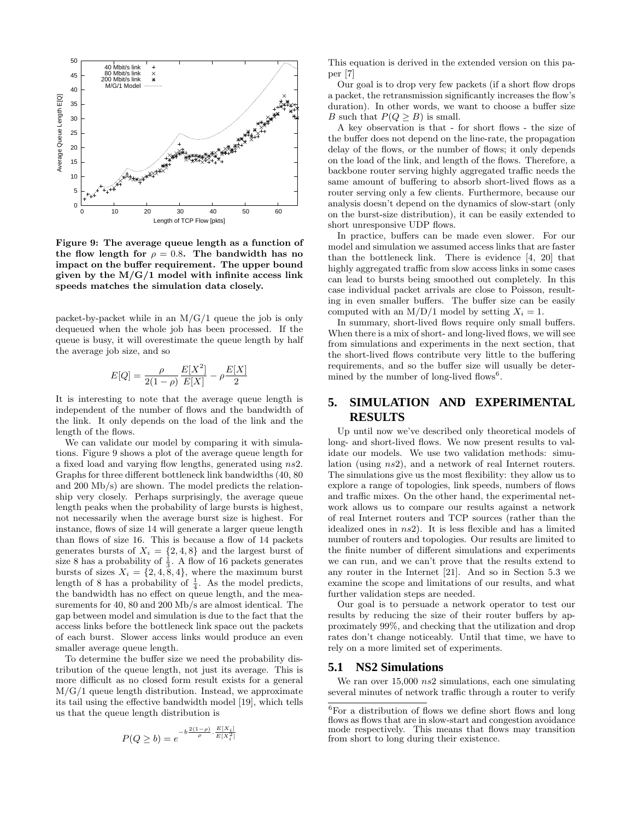

Figure 9: The average queue length as a function of the flow length for  $\rho = 0.8$ . The bandwidth has no impact on the buffer requirement. The upper bound given by the  $M/G/1$  model with infinite access link speeds matches the simulation data closely.

packet-by-packet while in an  $M/G/1$  queue the job is only dequeued when the whole job has been processed. If the queue is busy, it will overestimate the queue length by half the average job size, and so

$$
E[Q] = \frac{\rho}{2(1-\rho)} \frac{E[X^2]}{E[X]} - \rho \frac{E[X]}{2}
$$

It is interesting to note that the average queue length is independent of the number of flows and the bandwidth of the link. It only depends on the load of the link and the length of the flows.

We can validate our model by comparing it with simulations. Figure 9 shows a plot of the average queue length for a fixed load and varying flow lengths, generated using ns2. Graphs for three different bottleneck link bandwidths (40, 80 and 200 Mb/s) are shown. The model predicts the relationship very closely. Perhaps surprisingly, the average queue length peaks when the probability of large bursts is highest, not necessarily when the average burst size is highest. For instance, flows of size 14 will generate a larger queue length than flows of size 16. This is because a flow of 14 packets generates bursts of  $X_i = \{2, 4, 8\}$  and the largest burst of size 8 has a probability of  $\frac{1}{3}$ . A flow of 16 packets generates bursts of sizes  $X_i = \{2, 4, 8, 4\}$ , where the maximum burst length of 8 has a probability of  $\frac{1}{4}$ . As the model predicts, the bandwidth has no effect on queue length, and the measurements for 40, 80 and 200 Mb/s are almost identical. The gap between model and simulation is due to the fact that the access links before the bottleneck link space out the packets of each burst. Slower access links would produce an even smaller average queue length.

To determine the buffer size we need the probability distribution of the queue length, not just its average. This is more difficult as no closed form result exists for a general  $M/G/1$  queue length distribution. Instead, we approximate its tail using the effective bandwidth model [19], which tells us that the queue length distribution is

$$
P(Q \ge b) = e^{-b \frac{2(1-\rho)}{\rho} \cdot \frac{E[X_i]}{E[X_i^2]}}
$$

This equation is derived in the extended version on this paper [7]

Our goal is to drop very few packets (if a short flow drops a packet, the retransmission significantly increases the flow's duration). In other words, we want to choose a buffer size B such that  $P(Q > B)$  is small.

A key observation is that - for short flows - the size of the buffer does not depend on the line-rate, the propagation delay of the flows, or the number of flows; it only depends on the load of the link, and length of the flows. Therefore, a backbone router serving highly aggregated traffic needs the same amount of buffering to absorb short-lived flows as a router serving only a few clients. Furthermore, because our analysis doesn't depend on the dynamics of slow-start (only on the burst-size distribution), it can be easily extended to short unresponsive UDP flows.

In practice, buffers can be made even slower. For our model and simulation we assumed access links that are faster than the bottleneck link. There is evidence [4, 20] that highly aggregated traffic from slow access links in some cases can lead to bursts being smoothed out completely. In this case individual packet arrivals are close to Poisson, resulting in even smaller buffers. The buffer size can be easily computed with an  $M/D/1$  model by setting  $X_i = 1$ .

In summary, short-lived flows require only small buffers. When there is a mix of short- and long-lived flows, we will see from simulations and experiments in the next section, that the short-lived flows contribute very little to the buffering requirements, and so the buffer size will usually be determined by the number of long-lived flows<sup>6</sup>.

# **5. SIMULATION AND EXPERIMENTAL RESULTS**

Up until now we've described only theoretical models of long- and short-lived flows. We now present results to validate our models. We use two validation methods: simulation (using ns2), and a network of real Internet routers. The simulations give us the most flexibility: they allow us to explore a range of topologies, link speeds, numbers of flows and traffic mixes. On the other hand, the experimental network allows us to compare our results against a network of real Internet routers and TCP sources (rather than the idealized ones in ns2). It is less flexible and has a limited number of routers and topologies. Our results are limited to the finite number of different simulations and experiments we can run, and we can't prove that the results extend to any router in the Internet [21]. And so in Section 5.3 we examine the scope and limitations of our results, and what further validation steps are needed.

Our goal is to persuade a network operator to test our results by reducing the size of their router buffers by approximately 99%, and checking that the utilization and drop rates don't change noticeably. Until that time, we have to rely on a more limited set of experiments.

#### **5.1 NS2 Simulations**

We ran over  $15,000$  ns2 simulations, each one simulating several minutes of network traffic through a router to verify

 $^6\rm{For}$  a distribution of flows we define short flows and long flows as flows that are in slow-start and congestion avoidance mode respectively. This means that flows may transition from short to long during their existence.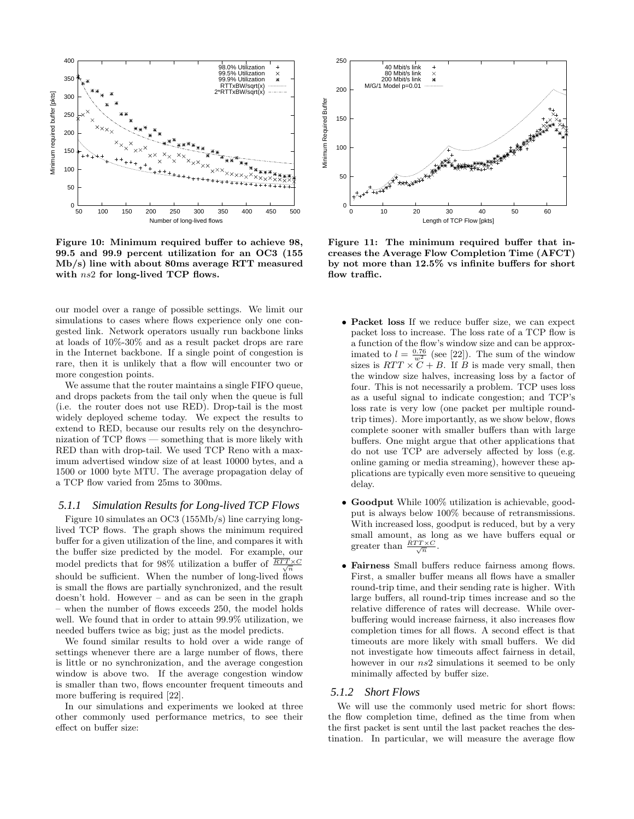

Figure 10: Minimum required buffer to achieve 98, 99.5 and 99.9 percent utilization for an OC3 (155 Mb/s) line with about 80ms average RTT measured with  $ns2$  for long-lived TCP flows.

our model over a range of possible settings. We limit our simulations to cases where flows experience only one congested link. Network operators usually run backbone links at loads of 10%-30% and as a result packet drops are rare in the Internet backbone. If a single point of congestion is rare, then it is unlikely that a flow will encounter two or more congestion points.

We assume that the router maintains a single FIFO queue, and drops packets from the tail only when the queue is full (i.e. the router does not use RED). Drop-tail is the most widely deployed scheme today. We expect the results to extend to RED, because our results rely on the desynchronization of TCP flows — something that is more likely with RED than with drop-tail. We used TCP Reno with a maximum advertised window size of at least 10000 bytes, and a 1500 or 1000 byte MTU. The average propagation delay of a TCP flow varied from 25ms to 300ms.

#### *5.1.1 Simulation Results for Long-lived TCP Flows*

Figure 10 simulates an OC3 (155Mb/s) line carrying longlived TCP flows. The graph shows the minimum required buffer for a given utilization of the line, and compares it with the buffer size predicted by the model. For example, our model predicts that for 98% utilization a buffer of  $\frac{RTT \times C}{\sqrt{n}}$ should be sufficient. When the number of long-lived flows is small the flows are partially synchronized, and the result doesn't hold. However – and as can be seen in the graph – when the number of flows exceeds 250, the model holds well. We found that in order to attain 99.9% utilization, we needed buffers twice as big; just as the model predicts.

We found similar results to hold over a wide range of settings whenever there are a large number of flows, there is little or no synchronization, and the average congestion window is above two. If the average congestion window is smaller than two, flows encounter frequent timeouts and more buffering is required [22].

In our simulations and experiments we looked at three other commonly used performance metrics, to see their effect on buffer size:



Figure 11: The minimum required buffer that increases the Average Flow Completion Time (AFCT) by not more than 12.5% vs infinite buffers for short flow traffic.

- Packet loss If we reduce buffer size, we can expect packet loss to increase. The loss rate of a TCP flow is a function of the flow's window size and can be approximated to  $l = \frac{0.76}{w^2}$  (see [22]). The sum of the window sizes is  $RTT \times C + B$ . If B is made very small, then the window size halves, increasing loss by a factor of four. This is not necessarily a problem. TCP uses loss as a useful signal to indicate congestion; and TCP's loss rate is very low (one packet per multiple roundtrip times). More importantly, as we show below, flows complete sooner with smaller buffers than with large buffers. One might argue that other applications that do not use TCP are adversely affected by loss (e.g. online gaming or media streaming), however these applications are typically even more sensitive to queueing delay.
- Goodput While 100% utilization is achievable, goodput is always below 100% because of retransmissions. With increased loss, goodput is reduced, but by a very small amount, as long as we have buffers equal or greater than  $\frac{RTT \times C}{\sqrt{n}}$ .
- Fairness Small buffers reduce fairness among flows. First, a smaller buffer means all flows have a smaller round-trip time, and their sending rate is higher. With large buffers, all round-trip times increase and so the relative difference of rates will decrease. While overbuffering would increase fairness, it also increases flow completion times for all flows. A second effect is that timeouts are more likely with small buffers. We did not investigate how timeouts affect fairness in detail, however in our  $ns2$  simulations it seemed to be only minimally affected by buffer size.

#### *5.1.2 Short Flows*

We will use the commonly used metric for short flows: the flow completion time, defined as the time from when the first packet is sent until the last packet reaches the destination. In particular, we will measure the average flow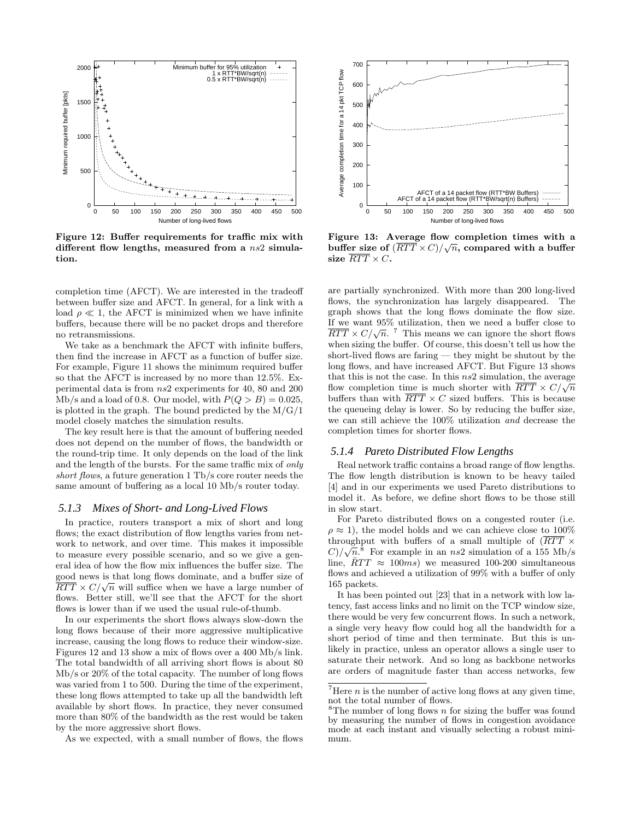

Figure 12: Buffer requirements for traffic mix with different flow lengths, measured from a  $ns2$  simulation.

completion time (AFCT). We are interested in the tradeoff between buffer size and AFCT. In general, for a link with a load  $\rho \ll 1$ , the AFCT is minimized when we have infinite buffers, because there will be no packet drops and therefore no retransmissions.

We take as a benchmark the AFCT with infinite buffers, then find the increase in AFCT as a function of buffer size. For example, Figure 11 shows the minimum required buffer so that the AFCT is increased by no more than 12.5%. Experimental data is from ns2 experiments for 40, 80 and 200 Mb/s and a load of 0.8. Our model, with  $P(Q > B) = 0.025$ , is plotted in the graph. The bound predicted by the  $M/G/1$ model closely matches the simulation results.

The key result here is that the amount of buffering needed does not depend on the number of flows, the bandwidth or the round-trip time. It only depends on the load of the link and the length of the bursts. For the same traffic mix of only short flows, a future generation 1 Tb/s core router needs the same amount of buffering as a local 10 Mb/s router today.

#### *5.1.3 Mixes of Short- and Long-Lived Flows*

In practice, routers transport a mix of short and long flows; the exact distribution of flow lengths varies from network to network, and over time. This makes it impossible to measure every possible scenario, and so we give a general idea of how the flow mix influences the buffer size. The good news is that long flows dominate, and a buffer size of  $\overline{RTT} \times C/\sqrt{n}$  will suffice when we have a large number of flows. Better still, we'll see that the AFCT for the short flows is lower than if we used the usual rule-of-thumb.

In our experiments the short flows always slow-down the long flows because of their more aggressive multiplicative increase, causing the long flows to reduce their window-size. Figures 12 and 13 show a mix of flows over a 400 Mb/s link. The total bandwidth of all arriving short flows is about 80 Mb/s or 20% of the total capacity. The number of long flows was varied from 1 to 500. During the time of the experiment, these long flows attempted to take up all the bandwidth left available by short flows. In practice, they never consumed more than 80% of the bandwidth as the rest would be taken by the more aggressive short flows.

As we expected, with a small number of flows, the flows



Figure 13: Average flow completion times with a buffer size of  $\sqrt{RTT} \times C$ / $\sqrt{n}$ , compared with a buffer size  $RTT \times C$ .

are partially synchronized. With more than 200 long-lived flows, the synchronization has largely disappeared. The graph shows that the long flows dominate the flow size. If we want 95% utilization, then we need a buffer close to  $\overline{RTT} \times C/\sqrt{n}$ . <sup>7</sup> This means we can ignore the short flows when sizing the buffer. Of course, this doesn't tell us how the short-lived flows are faring — they might be shutout by the long flows, and have increased AFCT. But Figure 13 shows that this is not the case. In this  $ns2$  simulation, the average flow completion time is much shorter with  $\overline{RTT} \times C/\sqrt{n}$ buffers than with  $\overline{RTT} \times C$  sized buffers. This is because the queueing delay is lower. So by reducing the buffer size, we can still achieve the 100% utilization and decrease the completion times for shorter flows.

#### *5.1.4 Pareto Distributed Flow Lengths*

Real network traffic contains a broad range of flow lengths. The flow length distribution is known to be heavy tailed [4] and in our experiments we used Pareto distributions to model it. As before, we define short flows to be those still in slow start.

For Pareto distributed flows on a congested router (i.e.  $\rho \approx 1$ ), the model holds and we can achieve close to 100% throughput with buffers of a small multiple of  $(\overline{RTT}\,\times\,$  $C)/\sqrt{n}$ <sup>8</sup> For example in an ns2 simulation of a 155 Mb/s line,  $\overline{R}TT \approx 100ms$  we measured 100-200 simultaneous flows and achieved a utilization of 99% with a buffer of only 165 packets.

It has been pointed out [23] that in a network with low latency, fast access links and no limit on the TCP window size, there would be very few concurrent flows. In such a network, a single very heavy flow could hog all the bandwidth for a short period of time and then terminate. But this is unlikely in practice, unless an operator allows a single user to saturate their network. And so long as backbone networks are orders of magnitude faster than access networks, few

<sup>&</sup>lt;sup>7</sup>Here *n* is the number of active long flows at any given time, not the total number of flows.

 ${}^{8}$ The number of long flows n for sizing the buffer was found by measuring the number of flows in congestion avoidance mode at each instant and visually selecting a robust minimum.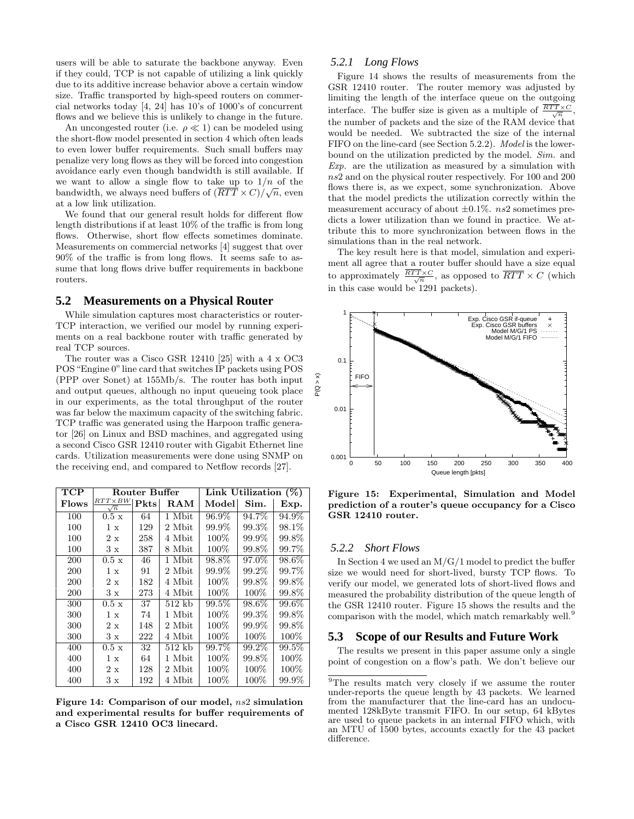users will be able to saturate the backbone anyway. Even if they could, TCP is not capable of utilizing a link quickly due to its additive increase behavior above a certain window size. Traffic transported by high-speed routers on commercial networks today [4, 24] has 10's of 1000's of concurrent flows and we believe this is unlikely to change in the future.

An uncongested router (i.e.  $\rho \ll 1$ ) can be modeled using the short-flow model presented in section 4 which often leads to even lower buffer requirements. Such small buffers may penalize very long flows as they will be forced into congestion avoidance early even though bandwidth is still available. If we want to allow a single flow to take up to  $1/n$  of the bandwidth, we always need buffers of  $\sqrt{RTT} \times C$ / $\sqrt{n}$ , even at a low link utilization.

We found that our general result holds for different flow length distributions if at least 10% of the traffic is from long flows. Otherwise, short flow effects sometimes dominate. Measurements on commercial networks [4] suggest that over 90% of the traffic is from long flows. It seems safe to assume that long flows drive buffer requirements in backbone routers.

# **5.2 Measurements on a Physical Router**

While simulation captures most characteristics or router-TCP interaction, we verified our model by running experiments on a real backbone router with traffic generated by real TCP sources.

The router was a Cisco GSR 12410 [25] with a 4 x OC3 POS"Engine 0"line card that switches IP packets using POS (PPP over Sonet) at 155Mb/s. The router has both input and output queues, although no input queueing took place in our experiments, as the total throughput of the router was far below the maximum capacity of the switching fabric. TCP traffic was generated using the Harpoon traffic generator [26] on Linux and BSD machines, and aggregated using a second Cisco GSR 12410 router with Gigabit Ethernet line cards. Utilization measurements were done using SNMP on the receiving end, and compared to Netflow records [27].

| TCP          | Router Buffer                       |             |          | Link Utilization $(\%)$ |       |       |
|--------------|-------------------------------------|-------------|----------|-------------------------|-------|-------|
| <b>Flows</b> | $RTT\times BW$<br>$\scriptstyle{'}$ | <b>Pkts</b> | RAM      | Modell                  | Sim.  | Exp.  |
| 100          | 0.5 x                               | 64          | 1 Mbit   | 96.9%                   | 94.7% | 94.9% |
| 100          | $1\mathrm{x}$                       | 129         | 2 Mbit   | 99.9%                   | 99.3% | 98.1% |
| 100          | $2\mathrm{x}$                       | 258         | 4 Mbit   | 100%                    | 99.9% | 99.8% |
| 100          | 3 x                                 | 387         | 8 Mbit   | $100\%$                 | 99.8% | 99.7% |
| 200          | 0.5 x                               | 46          | 1 Mbit   | 98.8%                   | 97.0% | 98.6% |
| 200          | 1 x                                 | 91          | 2 Mbit   | 99.9%                   | 99.2% | 99.7% |
| 200          | $2\mathrm{x}$                       | 182         | 4 Mbit   | 100\%                   | 99.8% | 99.8% |
| 200          | 3 x                                 | 273         | 4 Mbit   | $100\%$                 | 100%  | 99.8% |
| 300          | 0.5 x                               | 37          | $512$ kb | $99.5\%$                | 98.6% | 99.6% |
| 300          | 1 x                                 | 74          | 1 Mbit   | 100\%                   | 99.3% | 99.8% |
| 300          | $2\mathrm{x}$                       | 148         | 2 Mbit   | $100\%$                 | 99.9% | 99.8% |
| 300          | 3 x                                 | 222         | 4 Mbit   | 100\%                   | 100\% | 100%  |
| 400          | 0.5 x                               | 32          | $512$ kb | 99.7%                   | 99.2% | 99.5% |
| 400          | 1 x                                 | 64          | 1 Mbit   | 100\%                   | 99.8% | 100\% |
| 400          | $2\mathrm{x}$                       | 128         | 2 Mbit   | $100\%$                 | 100%  | 100%  |
| 400          | 3 x                                 | 192         | 4 Mbit   | $100\%$                 | 100\% | 99.9% |

Figure 14: Comparison of our model, ns2 simulation and experimental results for buffer requirements of a Cisco GSR 12410 OC3 linecard.

#### *5.2.1 Long Flows*

Figure 14 shows the results of measurements from the GSR 12410 router. The router memory was adjusted by limiting the length of the interface queue on the outgoing interface. The buffer size is given as a multiple of  $\frac{RTT \times C}{\sqrt{n}}$ , the number of packets and the size of the RAM device that would be needed. We subtracted the size of the internal FIFO on the line-card (see Section 5.2.2). Model is the lowerbound on the utilization predicted by the model. Sim. and Exp. are the utilization as measured by a simulation with ns2 and on the physical router respectively. For 100 and 200 flows there is, as we expect, some synchronization. Above that the model predicts the utilization correctly within the measurement accuracy of about  $\pm 0.1\%$ . ns2 sometimes predicts a lower utilization than we found in practice. We attribute this to more synchronization between flows in the simulations than in the real network.

The key result here is that model, simulation and experiment all agree that a router buffer should have a size equal to approximately  $\frac{RTT \times C}{\sqrt{n}}$ , as opposed to  $\overline{RTT} \times C$  (which in this case would be 1291 packets).



Figure 15: Experimental, Simulation and Model prediction of a router's queue occupancy for a Cisco GSR 12410 router.

#### *5.2.2 Short Flows*

In Section 4 we used an  $M/G/1$  model to predict the buffer size we would need for short-lived, bursty TCP flows. To verify our model, we generated lots of short-lived flows and measured the probability distribution of the queue length of the GSR 12410 router. Figure 15 shows the results and the comparison with the model, which match remarkably well.<sup>9</sup>

# **5.3 Scope of our Results and Future Work**

The results we present in this paper assume only a single point of congestion on a flow's path. We don't believe our

 $\overline{^{9}}$ The results match very closely if we assume the router under-reports the queue length by 43 packets. We learned from the manufacturer that the line-card has an undocumented 128kByte transmit FIFO. In our setup, 64 kBytes are used to queue packets in an internal FIFO which, with an MTU of 1500 bytes, accounts exactly for the 43 packet difference.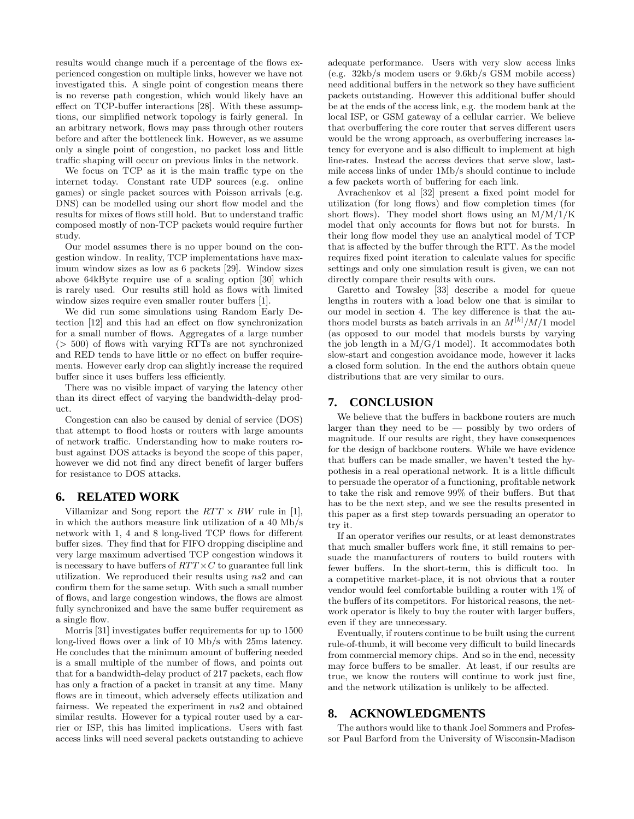results would change much if a percentage of the flows experienced congestion on multiple links, however we have not investigated this. A single point of congestion means there is no reverse path congestion, which would likely have an effect on TCP-buffer interactions [28]. With these assumptions, our simplified network topology is fairly general. In an arbitrary network, flows may pass through other routers before and after the bottleneck link. However, as we assume only a single point of congestion, no packet loss and little traffic shaping will occur on previous links in the network.

We focus on TCP as it is the main traffic type on the internet today. Constant rate UDP sources (e.g. online games) or single packet sources with Poisson arrivals (e.g. DNS) can be modelled using our short flow model and the results for mixes of flows still hold. But to understand traffic composed mostly of non-TCP packets would require further study.

Our model assumes there is no upper bound on the congestion window. In reality, TCP implementations have maximum window sizes as low as 6 packets [29]. Window sizes above 64kByte require use of a scaling option [30] which is rarely used. Our results still hold as flows with limited window sizes require even smaller router buffers [1].

We did run some simulations using Random Early Detection [12] and this had an effect on flow synchronization for a small number of flows. Aggregates of a large number (> 500) of flows with varying RTTs are not synchronized and RED tends to have little or no effect on buffer requirements. However early drop can slightly increase the required buffer since it uses buffers less efficiently.

There was no visible impact of varying the latency other than its direct effect of varying the bandwidth-delay product.

Congestion can also be caused by denial of service (DOS) that attempt to flood hosts or routers with large amounts of network traffic. Understanding how to make routers robust against DOS attacks is beyond the scope of this paper, however we did not find any direct benefit of larger buffers for resistance to DOS attacks.

# **6. RELATED WORK**

Villamizar and Song report the  $RTT \times BW$  rule in [1], in which the authors measure link utilization of a 40 Mb/s network with 1, 4 and 8 long-lived TCP flows for different buffer sizes. They find that for FIFO dropping discipline and very large maximum advertised TCP congestion windows it is necessary to have buffers of  $RTT \times C$  to guarantee full link utilization. We reproduced their results using ns2 and can confirm them for the same setup. With such a small number of flows, and large congestion windows, the flows are almost fully synchronized and have the same buffer requirement as a single flow.

Morris [31] investigates buffer requirements for up to 1500 long-lived flows over a link of 10 Mb/s with 25ms latency. He concludes that the minimum amount of buffering needed is a small multiple of the number of flows, and points out that for a bandwidth-delay product of 217 packets, each flow has only a fraction of a packet in transit at any time. Many flows are in timeout, which adversely effects utilization and fairness. We repeated the experiment in ns2 and obtained similar results. However for a typical router used by a carrier or ISP, this has limited implications. Users with fast access links will need several packets outstanding to achieve adequate performance. Users with very slow access links (e.g. 32kb/s modem users or 9.6kb/s GSM mobile access) need additional buffers in the network so they have sufficient packets outstanding. However this additional buffer should be at the ends of the access link, e.g. the modem bank at the local ISP, or GSM gateway of a cellular carrier. We believe that overbuffering the core router that serves different users would be the wrong approach, as overbuffering increases latency for everyone and is also difficult to implement at high line-rates. Instead the access devices that serve slow, lastmile access links of under 1Mb/s should continue to include a few packets worth of buffering for each link.

Avrachenkov et al [32] present a fixed point model for utilization (for long flows) and flow completion times (for short flows). They model short flows using an  $M/M/1/K$ model that only accounts for flows but not for bursts. In their long flow model they use an analytical model of TCP that is affected by the buffer through the RTT. As the model requires fixed point iteration to calculate values for specific settings and only one simulation result is given, we can not directly compare their results with ours.

Garetto and Towsley [33] describe a model for queue lengths in routers with a load below one that is similar to our model in section 4. The key difference is that the authors model bursts as batch arrivals in an  $M^{[k]}/M/1$  model (as opposed to our model that models bursts by varying the job length in a  $M/G/1$  model). It accommodates both slow-start and congestion avoidance mode, however it lacks a closed form solution. In the end the authors obtain queue distributions that are very similar to ours.

# **7. CONCLUSION**

We believe that the buffers in backbone routers are much larger than they need to be  $-$  possibly by two orders of magnitude. If our results are right, they have consequences for the design of backbone routers. While we have evidence that buffers can be made smaller, we haven't tested the hypothesis in a real operational network. It is a little difficult to persuade the operator of a functioning, profitable network to take the risk and remove 99% of their buffers. But that has to be the next step, and we see the results presented in this paper as a first step towards persuading an operator to try it.

If an operator verifies our results, or at least demonstrates that much smaller buffers work fine, it still remains to persuade the manufacturers of routers to build routers with fewer buffers. In the short-term, this is difficult too. In a competitive market-place, it is not obvious that a router vendor would feel comfortable building a router with 1% of the buffers of its competitors. For historical reasons, the network operator is likely to buy the router with larger buffers, even if they are unnecessary.

Eventually, if routers continue to be built using the current rule-of-thumb, it will become very difficult to build linecards from commercial memory chips. And so in the end, necessity may force buffers to be smaller. At least, if our results are true, we know the routers will continue to work just fine, and the network utilization is unlikely to be affected.

#### **8. ACKNOWLEDGMENTS**

The authors would like to thank Joel Sommers and Professor Paul Barford from the University of Wisconsin-Madison